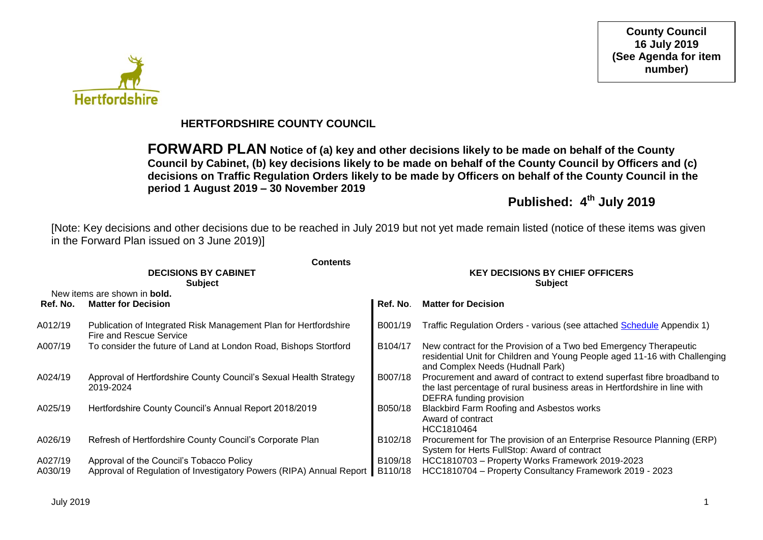

### **HERTFORDSHIRE COUNTY COUNCIL**

**FORWARD PLAN Notice of (a) key and other decisions likely to be made on behalf of the County Council by Cabinet, (b) key decisions likely to be made on behalf of the County Council by Officers and (c) decisions on Traffic Regulation Orders likely to be made by Officers on behalf of the County Council in the period 1 August 2019 – 30 November 2019**

**Published: 4 th July 2019** 

[Note: Key decisions and other decisions due to be reached in July 2019 but not yet made remain listed (notice of these items was given in the Forward Plan issued on 3 June 2019)]

|                    | <b>Contents</b>                                                                                                 | <b>KEY DECISIONS BY CHIEF OFFICERS</b> |                                                                                                                                                                                     |  |  |  |
|--------------------|-----------------------------------------------------------------------------------------------------------------|----------------------------------------|-------------------------------------------------------------------------------------------------------------------------------------------------------------------------------------|--|--|--|
|                    | <b>DECISIONS BY CABINET</b><br><b>Subject</b>                                                                   | <b>Subject</b>                         |                                                                                                                                                                                     |  |  |  |
|                    | New items are shown in <b>bold.</b>                                                                             |                                        |                                                                                                                                                                                     |  |  |  |
| Ref. No.           | <b>Matter for Decision</b>                                                                                      | Ref. No.                               | <b>Matter for Decision</b>                                                                                                                                                          |  |  |  |
| A012/19            | Publication of Integrated Risk Management Plan for Hertfordshire<br>Fire and Rescue Service                     | B001/19                                | Traffic Regulation Orders - various (see attached Schedule Appendix 1)                                                                                                              |  |  |  |
| A007/19            | To consider the future of Land at London Road, Bishops Stortford                                                | B104/17                                | New contract for the Provision of a Two bed Emergency Therapeutic<br>residential Unit for Children and Young People aged 11-16 with Challenging<br>and Complex Needs (Hudnall Park) |  |  |  |
| A024/19            | Approval of Hertfordshire County Council's Sexual Health Strategy<br>2019-2024                                  | B007/18                                | Procurement and award of contract to extend superfast fibre broadband to<br>the last percentage of rural business areas in Hertfordshire in line with<br>DEFRA funding provision    |  |  |  |
| A025/19            | Hertfordshire County Council's Annual Report 2018/2019                                                          | B050/18                                | Blackbird Farm Roofing and Asbestos works<br>Award of contract<br>HCC1810464                                                                                                        |  |  |  |
| A026/19            | Refresh of Hertfordshire County Council's Corporate Plan                                                        | B102/18                                | Procurement for The provision of an Enterprise Resource Planning (ERP)<br>System for Herts FullStop: Award of contract                                                              |  |  |  |
| A027/19<br>A030/19 | Approval of the Council's Tobacco Policy<br>Approval of Regulation of Investigatory Powers (RIPA) Annual Report | B109/18<br>B110/18                     | HCC1810703 - Property Works Framework 2019-2023<br>HCC1810704 - Property Consultancy Framework 2019 - 2023                                                                          |  |  |  |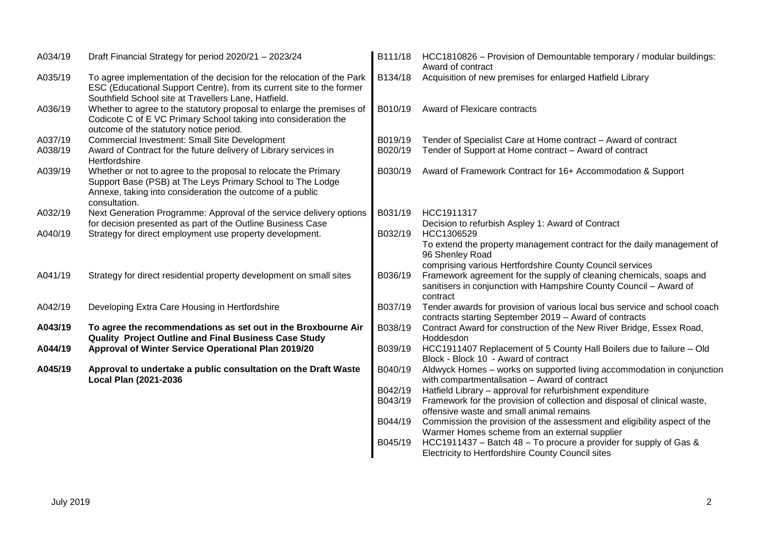| A034/19 | Draft Financial Strategy for period 2020/21 - 2023/24                                                                                                                                                       | B111/18 | HCC1810826 - Provision of Demountable temporary / modular buildings:<br>Award of contract                                                                           |
|---------|-------------------------------------------------------------------------------------------------------------------------------------------------------------------------------------------------------------|---------|---------------------------------------------------------------------------------------------------------------------------------------------------------------------|
| A035/19 | To agree implementation of the decision for the relocation of the Park<br>ESC (Educational Support Centre), from its current site to the former<br>Southfield School site at Travellers Lane, Hatfield.     | B134/18 | Acquisition of new premises for enlarged Hatfield Library                                                                                                           |
| A036/19 | Whether to agree to the statutory proposal to enlarge the premises of<br>Codicote C of E VC Primary School taking into consideration the<br>outcome of the statutory notice period.                         | B010/19 | Award of Flexicare contracts                                                                                                                                        |
| A037/19 | <b>Commercial Investment: Small Site Development</b>                                                                                                                                                        | B019/19 | Tender of Specialist Care at Home contract - Award of contract                                                                                                      |
| A038/19 | Award of Contract for the future delivery of Library services in<br>Hertfordshire                                                                                                                           | B020/19 | Tender of Support at Home contract - Award of contract                                                                                                              |
| A039/19 | Whether or not to agree to the proposal to relocate the Primary<br>Support Base (PSB) at The Leys Primary School to The Lodge<br>Annexe, taking into consideration the outcome of a public<br>consultation. | B030/19 | Award of Framework Contract for 16+ Accommodation & Support                                                                                                         |
| A032/19 | Next Generation Programme: Approval of the service delivery options<br>for decision presented as part of the Outline Business Case                                                                          | B031/19 | HCC1911317<br>Decision to refurbish Aspley 1: Award of Contract                                                                                                     |
| A040/19 | Strategy for direct employment use property development.                                                                                                                                                    | B032/19 | HCC1306529<br>To extend the property management contract for the daily management of<br>96 Shenley Road<br>comprising various Hertfordshire County Council services |
| A041/19 | Strategy for direct residential property development on small sites                                                                                                                                         | B036/19 | Framework agreement for the supply of cleaning chemicals, soaps and<br>sanitisers in conjunction with Hampshire County Council - Award of<br>contract               |
| A042/19 | Developing Extra Care Housing in Hertfordshire                                                                                                                                                              | B037/19 | Tender awards for provision of various local bus service and school coach<br>contracts starting September 2019 - Award of contracts                                 |
| A043/19 | To agree the recommendations as set out in the Broxbourne Air<br><b>Quality Project Outline and Final Business Case Study</b>                                                                               | B038/19 | Contract Award for construction of the New River Bridge, Essex Road,<br>Hoddesdon                                                                                   |
| A044/19 | Approval of Winter Service Operational Plan 2019/20                                                                                                                                                         | B039/19 | HCC1911407 Replacement of 5 County Hall Boilers due to failure - Old<br>Block - Block 10 - Award of contract                                                        |
| A045/19 | Approval to undertake a public consultation on the Draft Waste<br>Local Plan (2021-2036                                                                                                                     | B040/19 | Aldwyck Homes - works on supported living accommodation in conjunction<br>with compartmentalisation - Award of contract                                             |
|         |                                                                                                                                                                                                             | B042/19 | Hatfield Library - approval for refurbishment expenditure                                                                                                           |
|         |                                                                                                                                                                                                             | B043/19 | Framework for the provision of collection and disposal of clinical waste,                                                                                           |
|         |                                                                                                                                                                                                             |         | offensive waste and small animal remains                                                                                                                            |
|         |                                                                                                                                                                                                             | B044/19 | Commission the provision of the assessment and eligibility aspect of the<br>Warmer Homes scheme from an external supplier                                           |
|         |                                                                                                                                                                                                             | B045/19 | HCC1911437 – Batch 48 – To procure a provider for supply of Gas &                                                                                                   |
|         |                                                                                                                                                                                                             |         | Electricity to Hertfordshire County Council sites                                                                                                                   |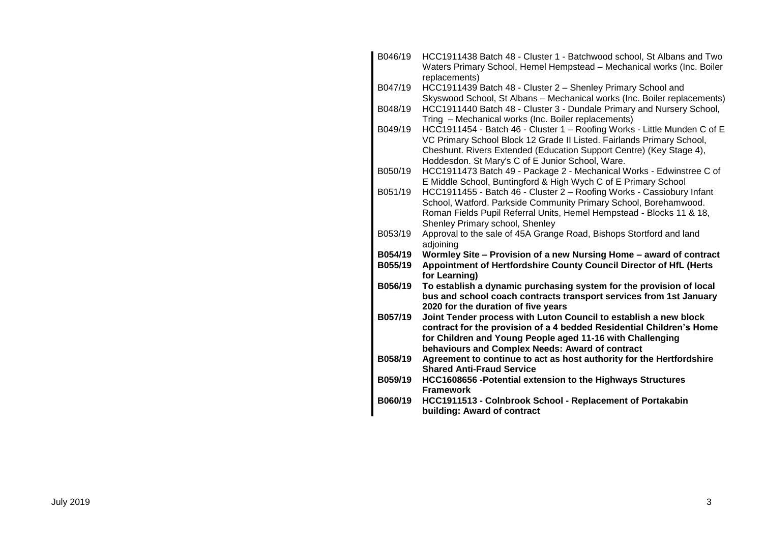| B046/19 | HCC1911438 Batch 48 - Cluster 1 - Batchwood school, St Albans and Two<br>Waters Primary School, Hemel Hempstead - Mechanical works (Inc. Boiler<br>replacements) |
|---------|------------------------------------------------------------------------------------------------------------------------------------------------------------------|
| B047/19 | HCC1911439 Batch 48 - Cluster 2 - Shenley Primary School and                                                                                                     |
|         | Skyswood School, St Albans - Mechanical works (Inc. Boiler replacements)                                                                                         |
| B048/19 | HCC1911440 Batch 48 - Cluster 3 - Dundale Primary and Nursery School,<br>Tring - Mechanical works (Inc. Boiler replacements)                                     |
| B049/19 | HCC1911454 - Batch 46 - Cluster 1 - Roofing Works - Little Munden C of E                                                                                         |
|         | VC Primary School Block 12 Grade II Listed. Fairlands Primary School,                                                                                            |
|         | Cheshunt. Rivers Extended (Education Support Centre) (Key Stage 4),                                                                                              |
|         | Hoddesdon. St Mary's C of E Junior School, Ware.                                                                                                                 |
| B050/19 | HCC1911473 Batch 49 - Package 2 - Mechanical Works - Edwinstree C of                                                                                             |
| B051/19 | E Middle School, Buntingford & High Wych C of E Primary School<br>HCC1911455 - Batch 46 - Cluster 2 - Roofing Works - Cassiobury Infant                          |
|         | School, Watford. Parkside Community Primary School, Borehamwood.                                                                                                 |
|         | Roman Fields Pupil Referral Units, Hemel Hempstead - Blocks 11 & 18,                                                                                             |
|         | Shenley Primary school, Shenley                                                                                                                                  |
| B053/19 | Approval to the sale of 45A Grange Road, Bishops Stortford and land                                                                                              |
|         | adjoining                                                                                                                                                        |
| B054/19 | Wormley Site - Provision of a new Nursing Home - award of contract                                                                                               |
| B055/19 | Appointment of Hertfordshire County Council Director of HfL (Herts<br>for Learning)                                                                              |
| B056/19 | To establish a dynamic purchasing system for the provision of local                                                                                              |
|         | bus and school coach contracts transport services from 1st January                                                                                               |
|         | 2020 for the duration of five years                                                                                                                              |
| B057/19 | Joint Tender process with Luton Council to establish a new block                                                                                                 |
|         | contract for the provision of a 4 bedded Residential Children's Home                                                                                             |
|         | for Children and Young People aged 11-16 with Challenging<br>behaviours and Complex Needs: Award of contract                                                     |
| B058/19 | Agreement to continue to act as host authority for the Hertfordshire                                                                                             |
|         | <b>Shared Anti-Fraud Service</b>                                                                                                                                 |
| B059/19 | HCC1608656 - Potential extension to the Highways Structures                                                                                                      |
|         | <b>Framework</b>                                                                                                                                                 |
| B060/19 | HCC1911513 - Colnbrook School - Replacement of Portakabin                                                                                                        |
|         | building: Award of contract                                                                                                                                      |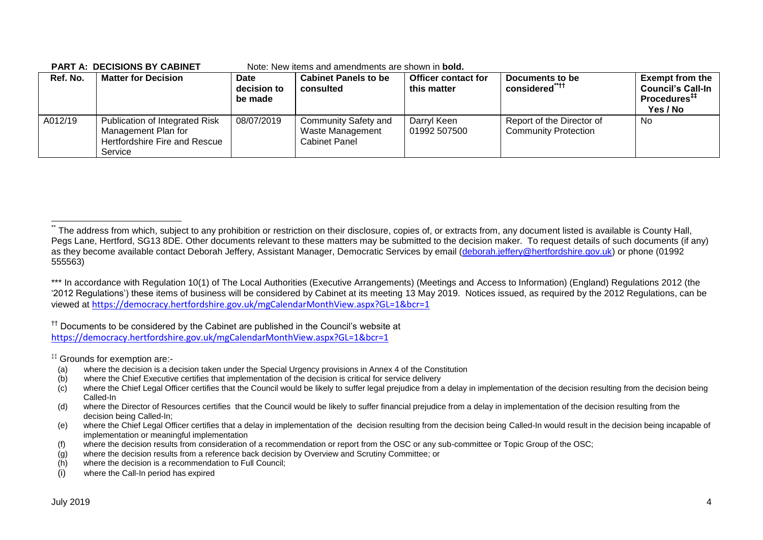| ו ביושר ט בישוטוסופט בידי הי |                                                                                                   |                                       | пок, пов коно ана англиноно аго эновн <b>проки</b> .      |                                           |                                                          |                                                                                            |
|------------------------------|---------------------------------------------------------------------------------------------------|---------------------------------------|-----------------------------------------------------------|-------------------------------------------|----------------------------------------------------------|--------------------------------------------------------------------------------------------|
| Ref. No.                     | <b>Matter for Decision</b>                                                                        | <b>Date</b><br>decision to<br>be made | <b>Cabinet Panels to be</b><br>consulted                  | <b>Officer contact for</b><br>this matter | Documents to be<br>considered <sup>"††</sup>             | <b>Exempt from the</b><br><b>Council's Call-In</b><br>Procedures <sup>##</sup><br>Yes / No |
| A012/19                      | Publication of Integrated Risk<br>Management Plan for<br>Hertfordshire Fire and Rescue<br>Service | 08/07/2019                            | Community Safety and<br>Waste Management<br>Cabinet Panel | Darryl Keen<br>01992 507500               | Report of the Director of<br><b>Community Protection</b> | No                                                                                         |

#### **PART A: DECISIONS BY CABINET** Note: New items and amendments are shown in **bold.**

<sup>††</sup> Documents to be considered by the Cabinet are published in the Council's website at <https://democracy.hertfordshire.gov.uk/mgCalendarMonthView.aspx?GL=1&bcr=1>

‡‡ Grounds for exemption are:-

- (a) where the decision is a decision taken under the Special Urgency provisions in Annex 4 of the Constitution
- (b) where the Chief Executive certifies that implementation of the decision is critical for service delivery
- $(c)$  where the Chief Legal Officer certifies that the Council would be likely to suffer legal prejudice from a delay in implementation of the decision resulting from the decision being Called-In
- (d) where the Director of Resources certifies that the Council would be likely to suffer financial prejudice from a delay in implementation of the decision resulting from the decision being Called-In;
- (e) where the Chief Legal Officer certifies that a delay in implementation of the decision resulting from the decision being Called-In would result in the decision being incapable of implementation or meaningful implementation
- (f) where the decision results from consideration of a recommendation or report from the OSC or any sub-committee or Topic Group of the OSC;
- (g) where the decision results from a reference back decision by Overview and Scrutiny Committee; or
- (h) where the decision is a recommendation to Full Council;
- (i) where the Call-In period has expired

1

The address from which, subject to any prohibition or restriction on their disclosure, copies of, or extracts from, any document listed is available is County Hall, Pegs Lane, Hertford, SG13 8DE. Other documents relevant to these matters may be submitted to the decision maker. To request details of such documents (if any) as they become available contact Deborah Jeffery, Assistant Manager, Democratic Services by email [\(deborah.jeffery@hertfordshire.gov.uk\)](mailto:deborah.jeffery@hertfordshire.gov.uk) or phone (01992 555563)

<sup>\*\*\*</sup> In accordance with Regulation 10(1) of The Local Authorities (Executive Arrangements) (Meetings and Access to Information) (England) Regulations 2012 (the '2012 Regulations') these items of business will be considered by Cabinet at its meeting 13 May 2019. Notices issued, as required by the 2012 Regulations, can be viewed at <https://democracy.hertfordshire.gov.uk/mgCalendarMonthView.aspx?GL=1&bcr=1>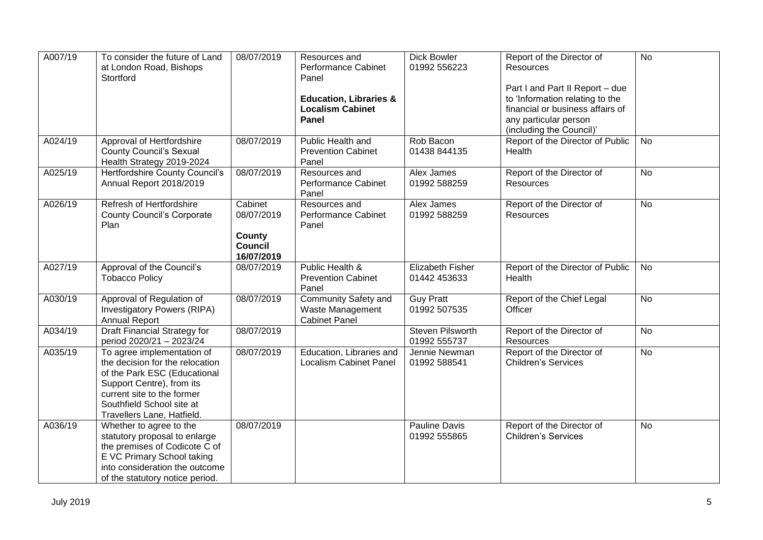| A007/19 | To consider the future of Land<br>at London Road, Bishops<br>Stortford                                                                                                                                              | 08/07/2019                                                             | Resources and<br>Performance Cabinet<br>Panel<br><b>Education, Libraries &amp;</b><br><b>Localism Cabinet</b><br>Panel | <b>Dick Bowler</b><br>01992 556223      | Report of the Director of<br><b>Resources</b><br>Part I and Part II Report - due<br>to 'Information relating to the<br>financial or business affairs of<br>any particular person<br>(including the Council)' | $\overline{N}$ |
|---------|---------------------------------------------------------------------------------------------------------------------------------------------------------------------------------------------------------------------|------------------------------------------------------------------------|------------------------------------------------------------------------------------------------------------------------|-----------------------------------------|--------------------------------------------------------------------------------------------------------------------------------------------------------------------------------------------------------------|----------------|
| A024/19 | Approval of Hertfordshire<br><b>County Council's Sexual</b><br>Health Strategy 2019-2024                                                                                                                            | 08/07/2019                                                             | Public Health and<br><b>Prevention Cabinet</b><br>Panel                                                                | Rob Bacon<br>01438 844135               | Report of the Director of Public<br>Health                                                                                                                                                                   | No             |
| A025/19 | Hertfordshire County Council's<br>Annual Report 2018/2019                                                                                                                                                           | 08/07/2019                                                             | Resources and<br>Performance Cabinet<br>Panel                                                                          | Alex James<br>01992 588259              | Report of the Director of<br><b>Resources</b>                                                                                                                                                                | <b>No</b>      |
| A026/19 | Refresh of Hertfordshire<br><b>County Council's Corporate</b><br>Plan                                                                                                                                               | Cabinet<br>08/07/2019<br><b>County</b><br><b>Council</b><br>16/07/2019 | Resources and<br>Performance Cabinet<br>Panel                                                                          | Alex James<br>01992 588259              | Report of the Director of<br>Resources                                                                                                                                                                       | $\overline{N}$ |
| A027/19 | Approval of the Council's<br><b>Tobacco Policy</b>                                                                                                                                                                  | 08/07/2019                                                             | Public Health &<br><b>Prevention Cabinet</b><br>Panel                                                                  | <b>Elizabeth Fisher</b><br>01442 453633 | Report of the Director of Public<br>Health                                                                                                                                                                   | <b>No</b>      |
| A030/19 | Approval of Regulation of<br><b>Investigatory Powers (RIPA)</b><br><b>Annual Report</b>                                                                                                                             | 08/07/2019                                                             | <b>Community Safety and</b><br>Waste Management<br><b>Cabinet Panel</b>                                                | <b>Guy Pratt</b><br>01992 507535        | Report of the Chief Legal<br>Officer                                                                                                                                                                         | $\overline{N}$ |
| A034/19 | <b>Draft Financial Strategy for</b><br>period 2020/21 - 2023/24                                                                                                                                                     | 08/07/2019                                                             |                                                                                                                        | <b>Steven Pilsworth</b><br>01992 555737 | Report of the Director of<br>Resources                                                                                                                                                                       | <b>No</b>      |
| A035/19 | To agree implementation of<br>the decision for the relocation<br>of the Park ESC (Educational<br>Support Centre), from its<br>current site to the former<br>Southfield School site at<br>Travellers Lane, Hatfield. | 08/07/2019                                                             | Education, Libraries and<br><b>Localism Cabinet Panel</b>                                                              | Jennie Newman<br>01992 588541           | Report of the Director of<br><b>Children's Services</b>                                                                                                                                                      | <b>No</b>      |
| A036/19 | Whether to agree to the<br>statutory proposal to enlarge<br>the premises of Codicote C of<br>E VC Primary School taking<br>into consideration the outcome<br>of the statutory notice period.                        | 08/07/2019                                                             |                                                                                                                        | <b>Pauline Davis</b><br>01992 555865    | Report of the Director of<br>Children's Services                                                                                                                                                             | <b>No</b>      |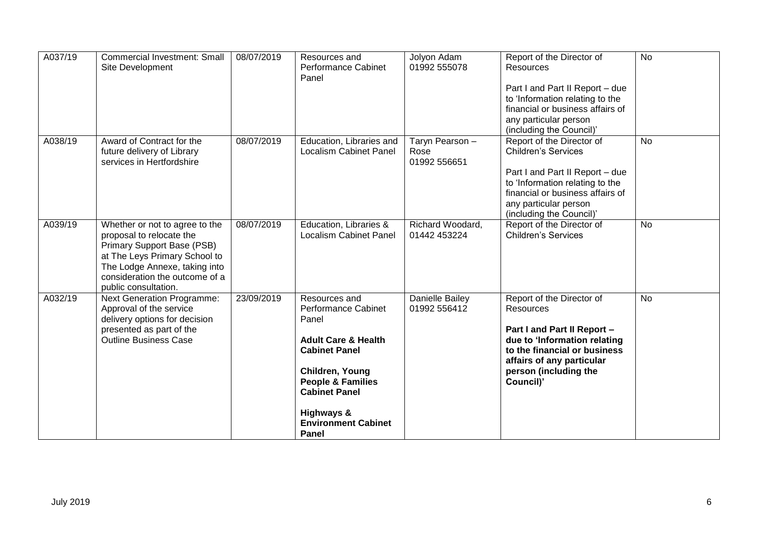| A037/19 | <b>Commercial Investment: Small</b>                         | 08/07/2019 | Resources and                                        | Jolyon Adam      | Report of the Director of                                          | $\overline{N}$ |
|---------|-------------------------------------------------------------|------------|------------------------------------------------------|------------------|--------------------------------------------------------------------|----------------|
|         | Site Development                                            |            | Performance Cabinet                                  | 01992 555078     | <b>Resources</b>                                                   |                |
|         |                                                             |            | Panel                                                |                  |                                                                    |                |
|         |                                                             |            |                                                      |                  | Part I and Part II Report - due<br>to 'Information relating to the |                |
|         |                                                             |            |                                                      |                  | financial or business affairs of                                   |                |
|         |                                                             |            |                                                      |                  | any particular person                                              |                |
|         |                                                             |            |                                                      |                  | (including the Council)'                                           |                |
| A038/19 | Award of Contract for the                                   | 08/07/2019 | Education, Libraries and                             | Taryn Pearson -  | Report of the Director of                                          | <b>No</b>      |
|         | future delivery of Library                                  |            | <b>Localism Cabinet Panel</b>                        | Rose             | <b>Children's Services</b>                                         |                |
|         | services in Hertfordshire                                   |            |                                                      | 01992 556651     |                                                                    |                |
|         |                                                             |            |                                                      |                  | Part I and Part II Report - due                                    |                |
|         |                                                             |            |                                                      |                  | to 'Information relating to the                                    |                |
|         |                                                             |            |                                                      |                  | financial or business affairs of                                   |                |
|         |                                                             |            |                                                      |                  | any particular person                                              |                |
|         |                                                             |            |                                                      |                  | (including the Council)'                                           |                |
| A039/19 | Whether or not to agree to the                              | 08/07/2019 | Education, Libraries &                               | Richard Woodard, | Report of the Director of                                          | <b>No</b>      |
|         | proposal to relocate the                                    |            | <b>Localism Cabinet Panel</b>                        | 01442 453224     | <b>Children's Services</b>                                         |                |
|         | Primary Support Base (PSB)<br>at The Leys Primary School to |            |                                                      |                  |                                                                    |                |
|         | The Lodge Annexe, taking into                               |            |                                                      |                  |                                                                    |                |
|         | consideration the outcome of a                              |            |                                                      |                  |                                                                    |                |
|         | public consultation.                                        |            |                                                      |                  |                                                                    |                |
| A032/19 | <b>Next Generation Programme:</b>                           | 23/09/2019 | Resources and                                        | Danielle Bailey  | Report of the Director of                                          | <b>No</b>      |
|         | Approval of the service                                     |            | <b>Performance Cabinet</b>                           | 01992 556412     | <b>Resources</b>                                                   |                |
|         | delivery options for decision                               |            | Panel                                                |                  |                                                                    |                |
|         | presented as part of the                                    |            |                                                      |                  | Part I and Part II Report -                                        |                |
|         | <b>Outline Business Case</b>                                |            | <b>Adult Care &amp; Health</b>                       |                  | due to 'Information relating                                       |                |
|         |                                                             |            | <b>Cabinet Panel</b>                                 |                  | to the financial or business                                       |                |
|         |                                                             |            |                                                      |                  | affairs of any particular                                          |                |
|         |                                                             |            | Children, Young                                      |                  | person (including the                                              |                |
|         |                                                             |            | <b>People &amp; Families</b><br><b>Cabinet Panel</b> |                  | Council)'                                                          |                |
|         |                                                             |            |                                                      |                  |                                                                    |                |
|         |                                                             |            | Highways &                                           |                  |                                                                    |                |
|         |                                                             |            | <b>Environment Cabinet</b>                           |                  |                                                                    |                |
|         |                                                             |            | Panel                                                |                  |                                                                    |                |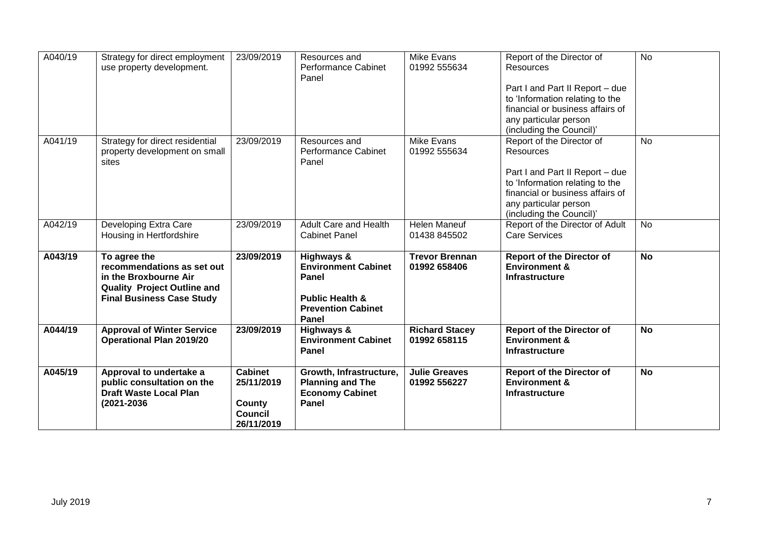| A040/19 | Strategy for direct employment<br>use property development.                                                                                   | 23/09/2019                                                             | Resources and<br><b>Performance Cabinet</b><br>Panel                                                                  | Mike Evans<br>01992 555634            | Report of the Director of<br><b>Resources</b><br>Part I and Part II Report - due<br>to 'Information relating to the<br>financial or business affairs of<br>any particular person                                                  | $\overline{N}$ |
|---------|-----------------------------------------------------------------------------------------------------------------------------------------------|------------------------------------------------------------------------|-----------------------------------------------------------------------------------------------------------------------|---------------------------------------|-----------------------------------------------------------------------------------------------------------------------------------------------------------------------------------------------------------------------------------|----------------|
| A041/19 | Strategy for direct residential<br>property development on small<br>sites                                                                     | 23/09/2019                                                             | Resources and<br>Performance Cabinet<br>Panel                                                                         | <b>Mike Evans</b><br>01992 555634     | (including the Council)'<br>Report of the Director of<br>Resources<br>Part I and Part II Report - due<br>to 'Information relating to the<br>financial or business affairs of<br>any particular person<br>(including the Council)' | <b>No</b>      |
| A042/19 | Developing Extra Care<br>Housing in Hertfordshire                                                                                             | 23/09/2019                                                             | <b>Adult Care and Health</b><br><b>Cabinet Panel</b>                                                                  | <b>Helen Maneuf</b><br>01438 845502   | Report of the Director of Adult<br><b>Care Services</b>                                                                                                                                                                           | <b>No</b>      |
| A043/19 | To agree the<br>recommendations as set out<br>in the Broxbourne Air<br><b>Quality Project Outline and</b><br><b>Final Business Case Study</b> | 23/09/2019                                                             | Highways &<br><b>Environment Cabinet</b><br>Panel<br><b>Public Health &amp;</b><br><b>Prevention Cabinet</b><br>Panel | <b>Trevor Brennan</b><br>01992 658406 | <b>Report of the Director of</b><br><b>Environment &amp;</b><br><b>Infrastructure</b>                                                                                                                                             | <b>No</b>      |
| A044/19 | <b>Approval of Winter Service</b><br><b>Operational Plan 2019/20</b>                                                                          | 23/09/2019                                                             | Highways &<br><b>Environment Cabinet</b><br>Panel                                                                     | <b>Richard Stacey</b><br>01992 658115 | <b>Report of the Director of</b><br><b>Environment &amp;</b><br><b>Infrastructure</b>                                                                                                                                             | <b>No</b>      |
| A045/19 | Approval to undertake a<br>public consultation on the<br><b>Draft Waste Local Plan</b><br>(2021-2036                                          | <b>Cabinet</b><br>25/11/2019<br>County<br><b>Council</b><br>26/11/2019 | Growth, Infrastructure,<br><b>Planning and The</b><br><b>Economy Cabinet</b><br>Panel                                 | <b>Julie Greaves</b><br>01992 556227  | <b>Report of the Director of</b><br><b>Environment &amp;</b><br>Infrastructure                                                                                                                                                    | <b>No</b>      |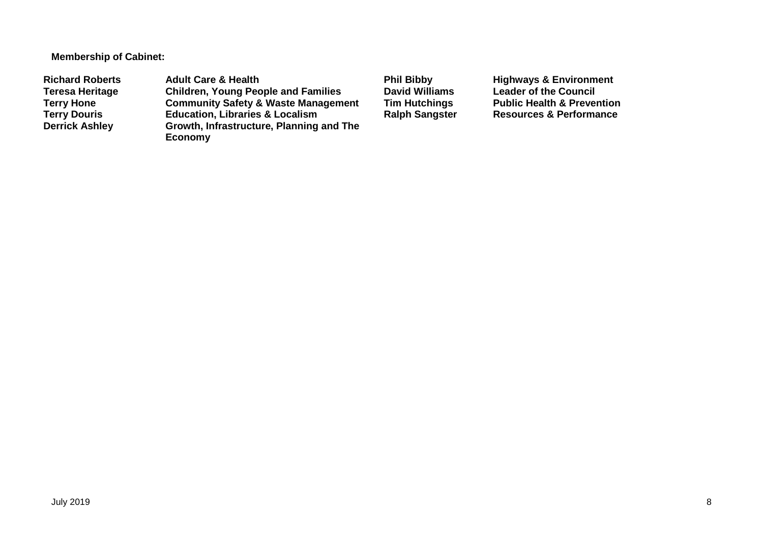**Membership of Cabinet:** 

Richard Roberts **Adult Care & Health** Phil Bibby Highways & Environment<br>
Teresa Heritage Children, Young People and Families David Williams Leader of the Council **Teresa Heritage Children, Young People and Families David Williams Leader of the Council Terry Hone Community Safety & Waste Management Tim Hutchings** Public Health & Prevention<br> **Terry Douris Education, Libraries & Localism** Ralph Sangster Resources & Performance **Terry Douris <b>Education, Libraries & Localism**<br> **Derrick Ashley** Growth, Infrastructure, Planning **Growth, Infrastructure, Planning and The Economy**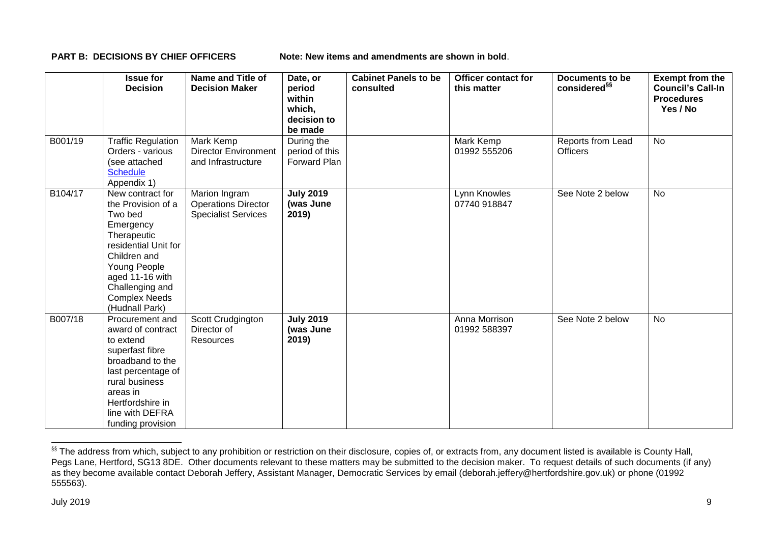**PART B: DECISIONS BY CHIEF OFFICERS Note: New items and amendments are shown in bold.** 

|         | <b>Issue for</b><br><b>Decision</b>                                                                                                                                                                                   | <b>Name and Title of</b><br><b>Decision Maker</b>                         | Date, or<br>period<br>within<br>which,<br>decision to<br>be made | <b>Cabinet Panels to be</b><br>consulted | <b>Officer contact for</b><br>this matter | <b>Documents to be</b><br>considered <sup>§§</sup> | <b>Exempt from the</b><br><b>Council's Call-In</b><br><b>Procedures</b><br>Yes / No |
|---------|-----------------------------------------------------------------------------------------------------------------------------------------------------------------------------------------------------------------------|---------------------------------------------------------------------------|------------------------------------------------------------------|------------------------------------------|-------------------------------------------|----------------------------------------------------|-------------------------------------------------------------------------------------|
| B001/19 | <b>Traffic Regulation</b><br>Orders - various<br>(see attached<br><b>Schedule</b><br>Appendix 1)                                                                                                                      | Mark Kemp<br><b>Director Environment</b><br>and Infrastructure            | During the<br>period of this<br>Forward Plan                     |                                          | Mark Kemp<br>01992 555206                 | Reports from Lead<br><b>Officers</b>               | <b>No</b>                                                                           |
| B104/17 | New contract for<br>the Provision of a<br>Two bed<br>Emergency<br>Therapeutic<br>residential Unit for<br>Children and<br>Young People<br>aged 11-16 with<br>Challenging and<br><b>Complex Needs</b><br>(Hudnall Park) | Marion Ingram<br><b>Operations Director</b><br><b>Specialist Services</b> | <b>July 2019</b><br>(was June<br>2019)                           |                                          | Lynn Knowles<br>07740 918847              | See Note 2 below                                   | <b>No</b>                                                                           |
| B007/18 | Procurement and<br>award of contract<br>to extend<br>superfast fibre<br>broadband to the<br>last percentage of<br>rural business<br>areas in<br>Hertfordshire in<br>line with DEFRA<br>funding provision              | Scott Crudgington<br>Director of<br>Resources                             | <b>July 2019</b><br>(was June<br>2019)                           |                                          | Anna Morrison<br>01992 588397             | See Note 2 below                                   | <b>No</b>                                                                           |

<sup>&</sup>lt;sup>§§</sup> The address from which, subject to any prohibition or restriction on their disclosure, copies of, or extracts from, any document listed is available is County Hall, Pegs Lane, Hertford, SG13 8DE. Other documents relevant to these matters may be submitted to the decision maker. To request details of such documents (if any) as they become available contact Deborah Jeffery, Assistant Manager, Democratic Services by email (deborah.jeffery@hertfordshire.gov.uk) or phone (01992 555563).

-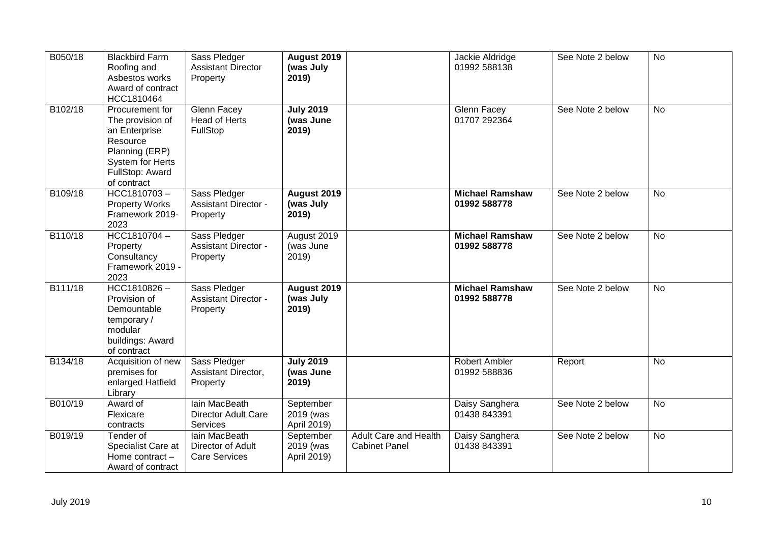| B050/18 | <b>Blackbird Farm</b><br>Roofing and<br>Asbestos works<br>Award of contract<br>HCC1810464                                                | Sass Pledger<br><b>Assistant Director</b><br>Property      | August 2019<br>(was July<br>2019)      |                                                      | Jackie Aldridge<br>01992 588138        | See Note 2 below | <b>No</b> |
|---------|------------------------------------------------------------------------------------------------------------------------------------------|------------------------------------------------------------|----------------------------------------|------------------------------------------------------|----------------------------------------|------------------|-----------|
| B102/18 | Procurement for<br>The provision of<br>an Enterprise<br>Resource<br>Planning (ERP)<br>System for Herts<br>FullStop: Award<br>of contract | Glenn Facey<br><b>Head of Herts</b><br>FullStop            | <b>July 2019</b><br>(was June<br>2019) |                                                      | Glenn Facey<br>01707 292364            | See Note 2 below | <b>No</b> |
| B109/18 | HCC1810703-<br><b>Property Works</b><br>Framework 2019-<br>2023                                                                          | Sass Pledger<br><b>Assistant Director -</b><br>Property    | August 2019<br>(was July<br>2019)      |                                                      | <b>Michael Ramshaw</b><br>01992 588778 | See Note 2 below | <b>No</b> |
| B110/18 | HCC1810704-<br>Property<br>Consultancy<br>Framework 2019 -<br>2023                                                                       | Sass Pledger<br><b>Assistant Director -</b><br>Property    | August 2019<br>(was June<br>2019)      |                                                      | <b>Michael Ramshaw</b><br>01992 588778 | See Note 2 below | No        |
| B111/18 | $HCC1810826 -$<br>Provision of<br>Demountable<br>temporary/<br>modular<br>buildings: Award<br>of contract                                | Sass Pledger<br><b>Assistant Director -</b><br>Property    | August 2019<br>(was July<br>2019)      |                                                      | <b>Michael Ramshaw</b><br>01992 588778 | See Note 2 below | <b>No</b> |
| B134/18 | Acquisition of new<br>premises for<br>enlarged Hatfield<br>Library                                                                       | Sass Pledger<br>Assistant Director,<br>Property            | <b>July 2019</b><br>(was June<br>2019) |                                                      | <b>Robert Ambler</b><br>01992 588836   | Report           | <b>No</b> |
| B010/19 | Award of<br>Flexicare<br>contracts                                                                                                       | Iain MacBeath<br><b>Director Adult Care</b><br>Services    | September<br>2019 (was<br>April 2019)  |                                                      | Daisy Sanghera<br>01438 843391         | See Note 2 below | <b>No</b> |
| B019/19 | Tender of<br>Specialist Care at<br>Home contract -<br>Award of contract                                                                  | lain MacBeath<br>Director of Adult<br><b>Care Services</b> | September<br>2019 (was<br>April 2019)  | <b>Adult Care and Health</b><br><b>Cabinet Panel</b> | Daisy Sanghera<br>01438 843391         | See Note 2 below | <b>No</b> |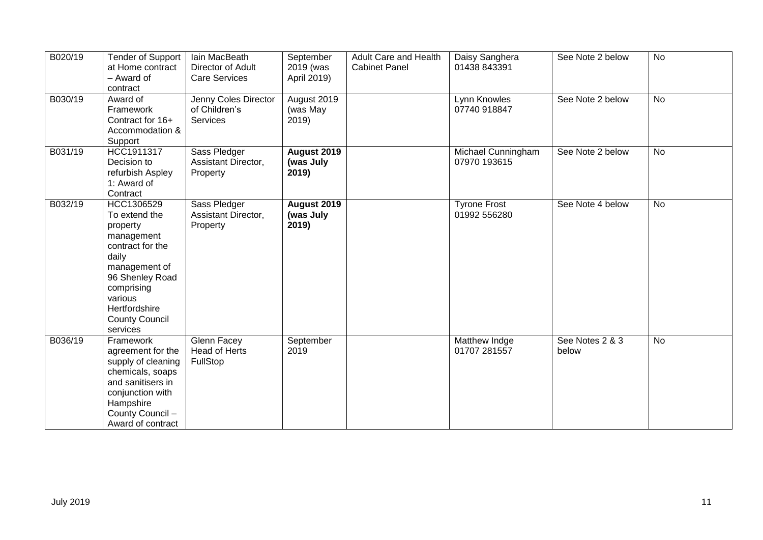| B020/19 | <b>Tender of Support</b><br>at Home contract<br>- Award of<br>contract                                                                                                                                | lain MacBeath<br>Director of Adult<br><b>Care Services</b> | September<br>2019 (was<br>April 2019)    | Adult Care and Health<br><b>Cabinet Panel</b> | Daisy Sanghera<br>01438 843391      | See Note 2 below         | <b>No</b> |
|---------|-------------------------------------------------------------------------------------------------------------------------------------------------------------------------------------------------------|------------------------------------------------------------|------------------------------------------|-----------------------------------------------|-------------------------------------|--------------------------|-----------|
| B030/19 | Award of<br>Framework<br>Contract for 16+<br>Accommodation &<br>Support                                                                                                                               | Jenny Coles Director<br>of Children's<br>Services          | August 2019<br>(was May<br>2019)         |                                               | Lynn Knowles<br>07740 918847        | See Note 2 below         | <b>No</b> |
| B031/19 | HCC1911317<br>Decision to<br>refurbish Aspley<br>1: Award of<br>Contract                                                                                                                              | Sass Pledger<br>Assistant Director,<br>Property            | <b>August 2019</b><br>(was July<br>2019) |                                               | Michael Cunningham<br>07970 193615  | See Note 2 below         | No        |
| B032/19 | HCC1306529<br>To extend the<br>property<br>management<br>contract for the<br>daily<br>management of<br>96 Shenley Road<br>comprising<br>various<br>Hertfordshire<br><b>County Council</b><br>services | Sass Pledger<br>Assistant Director,<br>Property            | August 2019<br>(was July<br>2019)        |                                               | <b>Tyrone Frost</b><br>01992 556280 | See Note 4 below         | <b>No</b> |
| B036/19 | Framework<br>agreement for the<br>supply of cleaning<br>chemicals, soaps<br>and sanitisers in<br>conjunction with<br>Hampshire<br>County Council -<br>Award of contract                               | Glenn Facey<br>Head of Herts<br>FullStop                   | September<br>2019                        |                                               | Matthew Indge<br>01707 281557       | See Notes 2 & 3<br>below | <b>No</b> |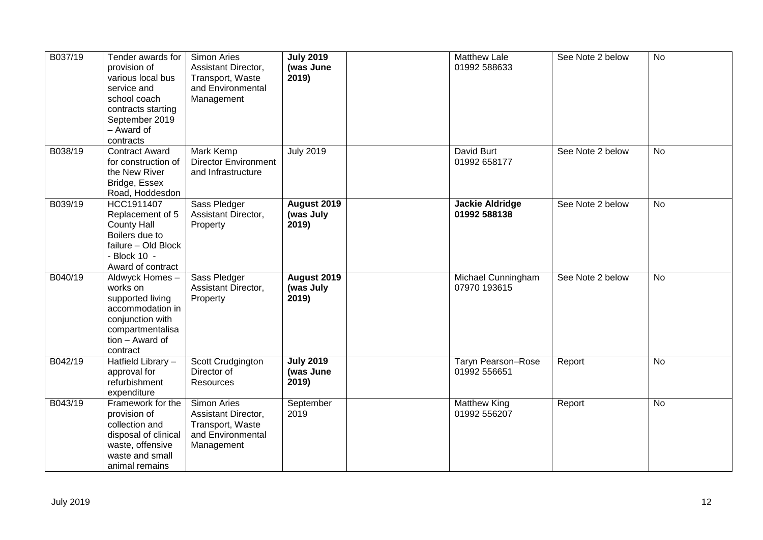| B037/19 | Tender awards for<br>provision of<br>various local bus<br>service and<br>school coach<br>contracts starting<br>September 2019<br>- Award of<br>contracts | <b>Simon Aries</b><br>Assistant Director,<br>Transport, Waste<br>and Environmental<br>Management | <b>July 2019</b><br>(was June<br>2019)   | <b>Matthew Lale</b><br>01992 588633       | See Note 2 below | <b>No</b> |
|---------|----------------------------------------------------------------------------------------------------------------------------------------------------------|--------------------------------------------------------------------------------------------------|------------------------------------------|-------------------------------------------|------------------|-----------|
| B038/19 | <b>Contract Award</b><br>for construction of<br>the New River<br>Bridge, Essex<br>Road, Hoddesdon                                                        | Mark Kemp<br><b>Director Environment</b><br>and Infrastructure                                   | <b>July 2019</b>                         | David Burt<br>01992 658177                | See Note 2 below | No        |
| B039/19 | HCC1911407<br>Replacement of 5<br><b>County Hall</b><br>Boilers due to<br>failure - Old Block<br>- Block 10 -<br>Award of contract                       | Sass Pledger<br>Assistant Director,<br>Property                                                  | August 2019<br>(was July<br>2019)        | <b>Jackie Aldridge</b><br>01992 588138    | See Note 2 below | <b>No</b> |
| B040/19 | Aldwyck Homes-<br>works on<br>supported living<br>accommodation in<br>conjunction with<br>compartmentalisa<br>tion - Award of<br>contract                | Sass Pledger<br>Assistant Director,<br>Property                                                  | <b>August 2019</b><br>(was July<br>2019) | Michael Cunningham<br>07970 193615        | See Note 2 below | <b>No</b> |
| B042/19 | Hatfield Library -<br>approval for<br>refurbishment<br>expenditure                                                                                       | Scott Crudgington<br>Director of<br><b>Resources</b>                                             | <b>July 2019</b><br>(was June<br>2019)   | <b>Taryn Pearson-Rose</b><br>01992 556651 | Report           | <b>No</b> |
| B043/19 | Framework for the<br>provision of<br>collection and<br>disposal of clinical<br>waste, offensive<br>waste and small<br>animal remains                     | <b>Simon Aries</b><br>Assistant Director,<br>Transport, Waste<br>and Environmental<br>Management | September<br>2019                        | <b>Matthew King</b><br>01992 556207       | Report           | <b>No</b> |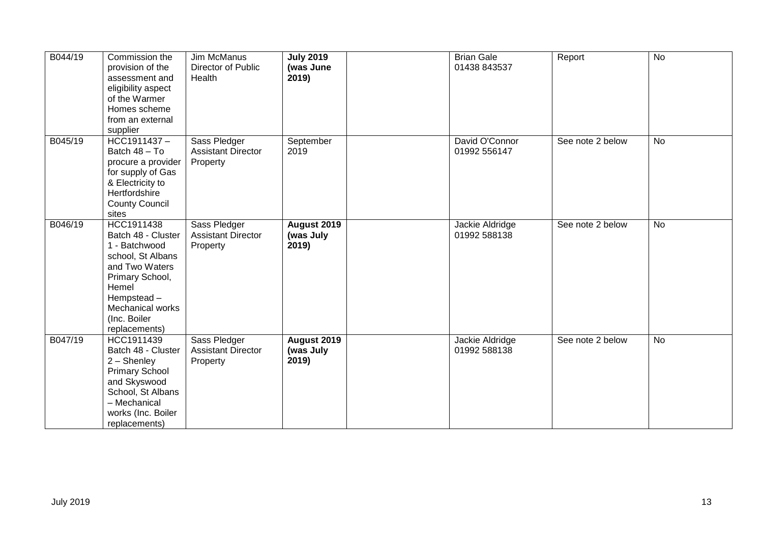| B044/19 | Commission the<br>provision of the<br>assessment and<br>eligibility aspect<br>of the Warmer<br>Homes scheme<br>from an external<br>supplier                                             | Jim McManus<br>Director of Public<br>Health           | <b>July 2019</b><br>(was June<br>2019) | <b>Brian Gale</b><br>01438 843537 | Report           | <b>No</b> |
|---------|-----------------------------------------------------------------------------------------------------------------------------------------------------------------------------------------|-------------------------------------------------------|----------------------------------------|-----------------------------------|------------------|-----------|
| B045/19 | HCC1911437-<br>Batch 48 - To<br>procure a provider<br>for supply of Gas<br>& Electricity to<br>Hertfordshire<br><b>County Council</b><br>sites                                          | Sass Pledger<br><b>Assistant Director</b><br>Property | September<br>2019                      | David O'Connor<br>01992 556147    | See note 2 below | No        |
| B046/19 | HCC1911438<br>Batch 48 - Cluster<br>1 - Batchwood<br>school, St Albans<br>and Two Waters<br>Primary School,<br>Hemel<br>Hempstead-<br>Mechanical works<br>(Inc. Boiler<br>replacements) | Sass Pledger<br><b>Assistant Director</b><br>Property | August 2019<br>(was July<br>2019)      | Jackie Aldridge<br>01992 588138   | See note 2 below | <b>No</b> |
| B047/19 | HCC1911439<br>Batch 48 - Cluster<br>2 - Shenley<br><b>Primary School</b><br>and Skyswood<br>School, St Albans<br>- Mechanical<br>works (Inc. Boiler<br>replacements)                    | Sass Pledger<br><b>Assistant Director</b><br>Property | August 2019<br>(was July<br>2019)      | Jackie Aldridge<br>01992 588138   | See note 2 below | <b>No</b> |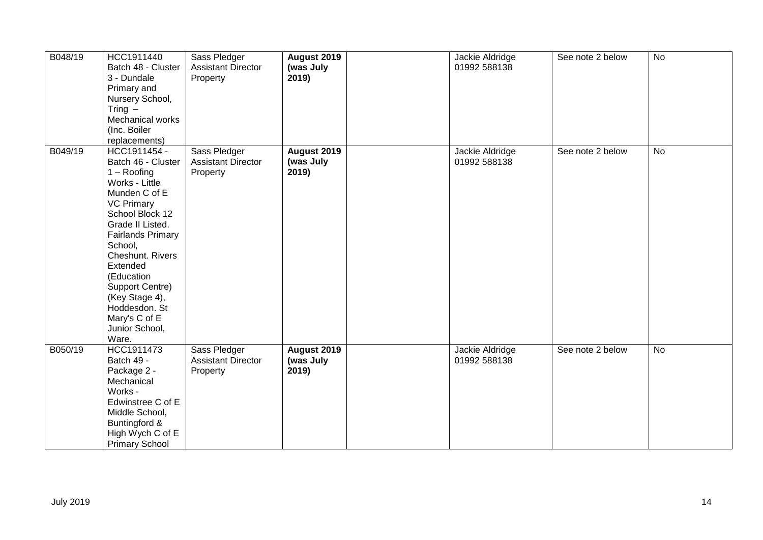| B048/19 | HCC1911440<br>Batch 48 - Cluster<br>3 - Dundale<br>Primary and<br>Nursery School,<br>Tring $-$<br>Mechanical works<br>(Inc. Boiler<br>replacements)                                                                                                                                                                                       | Sass Pledger<br><b>Assistant Director</b><br>Property | August 2019<br>(was July<br>2019) | Jackie Aldridge<br>01992 588138 | See note 2 below | $\overline{N}$ |
|---------|-------------------------------------------------------------------------------------------------------------------------------------------------------------------------------------------------------------------------------------------------------------------------------------------------------------------------------------------|-------------------------------------------------------|-----------------------------------|---------------------------------|------------------|----------------|
| B049/19 | HCC1911454 -<br>Batch 46 - Cluster<br>$1 -$ Roofing<br>Works - Little<br>Munden C of E<br><b>VC Primary</b><br>School Block 12<br>Grade II Listed.<br><b>Fairlands Primary</b><br>School,<br>Cheshunt. Rivers<br>Extended<br>(Education<br>Support Centre)<br>(Key Stage 4),<br>Hoddesdon. St<br>Mary's C of E<br>Junior School,<br>Ware. | Sass Pledger<br><b>Assistant Director</b><br>Property | August 2019<br>(was July<br>2019) | Jackie Aldridge<br>01992 588138 | See note 2 below | No             |
| B050/19 | HCC1911473<br>Batch 49 -<br>Package 2 -<br>Mechanical<br>Works -<br>Edwinstree C of E<br>Middle School,<br>Buntingford &<br>High Wych C of E<br><b>Primary School</b>                                                                                                                                                                     | Sass Pledger<br><b>Assistant Director</b><br>Property | August 2019<br>(was July<br>2019) | Jackie Aldridge<br>01992 588138 | See note 2 below | <b>No</b>      |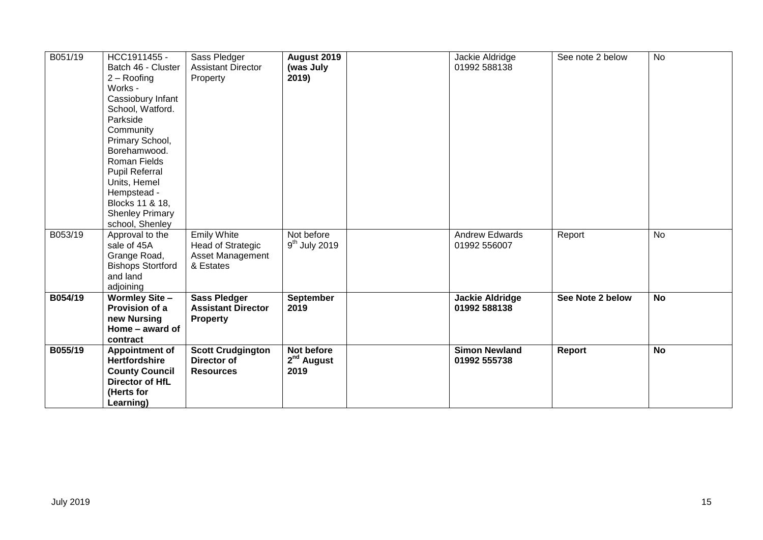| B051/19 | HCC1911455 -                          | Sass Pledger              | August 2019            | Jackie Aldridge        | See note 2 below | <b>No</b> |
|---------|---------------------------------------|---------------------------|------------------------|------------------------|------------------|-----------|
|         | Batch 46 - Cluster                    | <b>Assistant Director</b> | (was July              | 01992 588138           |                  |           |
|         | $2 -$ Roofing                         | Property                  | 2019)                  |                        |                  |           |
|         | Works -                               |                           |                        |                        |                  |           |
|         | Cassiobury Infant                     |                           |                        |                        |                  |           |
|         | School, Watford.                      |                           |                        |                        |                  |           |
|         | Parkside                              |                           |                        |                        |                  |           |
|         | Community                             |                           |                        |                        |                  |           |
|         | Primary School,<br>Borehamwood.       |                           |                        |                        |                  |           |
|         | <b>Roman Fields</b>                   |                           |                        |                        |                  |           |
|         |                                       |                           |                        |                        |                  |           |
|         | <b>Pupil Referral</b><br>Units, Hemel |                           |                        |                        |                  |           |
|         | Hempstead -                           |                           |                        |                        |                  |           |
|         | Blocks 11 & 18,                       |                           |                        |                        |                  |           |
|         | <b>Shenley Primary</b>                |                           |                        |                        |                  |           |
|         | school, Shenley                       |                           |                        |                        |                  |           |
| B053/19 | Approval to the                       | <b>Emily White</b>        | Not before             | Andrew Edwards         | Report           | <b>No</b> |
|         | sale of 45A                           | <b>Head of Strategic</b>  | $9th$ July 2019        | 01992 556007           |                  |           |
|         | Grange Road,                          | <b>Asset Management</b>   |                        |                        |                  |           |
|         | <b>Bishops Stortford</b>              | & Estates                 |                        |                        |                  |           |
|         | and land                              |                           |                        |                        |                  |           |
|         | adjoining                             |                           |                        |                        |                  |           |
| B054/19 | <b>Wormley Site-</b>                  | <b>Sass Pledger</b>       | September              | <b>Jackie Aldridge</b> | See Note 2 below | <b>No</b> |
|         | Provision of a                        | <b>Assistant Director</b> | 2019                   | 01992 588138           |                  |           |
|         | new Nursing                           | Property                  |                        |                        |                  |           |
|         | Home - award of                       |                           |                        |                        |                  |           |
|         | contract                              |                           |                        |                        |                  |           |
| B055/19 | <b>Appointment of</b>                 | <b>Scott Crudgington</b>  | Not before             | <b>Simon Newland</b>   | Report           | <b>No</b> |
|         | <b>Hertfordshire</b>                  | <b>Director of</b>        | 2 <sup>nd</sup> August | 01992 555738           |                  |           |
|         | <b>County Council</b>                 | <b>Resources</b>          | 2019                   |                        |                  |           |
|         | Director of HfL                       |                           |                        |                        |                  |           |
|         | (Herts for                            |                           |                        |                        |                  |           |
|         | Learning)                             |                           |                        |                        |                  |           |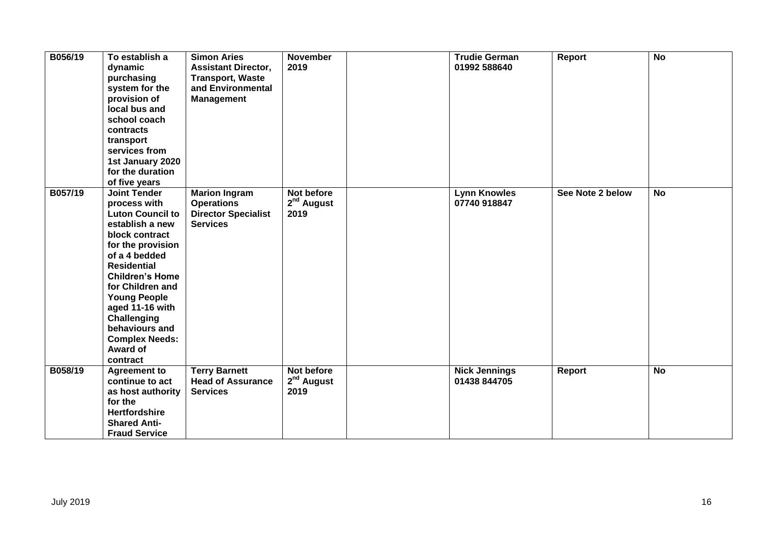| B056/19 | To establish a<br>dynamic<br>purchasing<br>system for the<br>provision of<br>local bus and<br>school coach<br>contracts<br>transport<br>services from<br>1st January 2020<br>for the duration<br>of five years                                                                                                                            | <b>Simon Aries</b><br><b>Assistant Director,</b><br><b>Transport, Waste</b><br>and Environmental<br><b>Management</b> | <b>November</b><br>2019                      | <b>Trudie German</b><br>01992 588640 | Report           | <b>No</b>      |
|---------|-------------------------------------------------------------------------------------------------------------------------------------------------------------------------------------------------------------------------------------------------------------------------------------------------------------------------------------------|-----------------------------------------------------------------------------------------------------------------------|----------------------------------------------|--------------------------------------|------------------|----------------|
| B057/19 | <b>Joint Tender</b><br>process with<br><b>Luton Council to</b><br>establish a new<br>block contract<br>for the provision<br>of a 4 bedded<br><b>Residential</b><br><b>Children's Home</b><br>for Children and<br><b>Young People</b><br>aged 11-16 with<br>Challenging<br>behaviours and<br><b>Complex Needs:</b><br>Award of<br>contract | <b>Marion Ingram</b><br><b>Operations</b><br><b>Director Specialist</b><br><b>Services</b>                            | Not before<br>2 <sup>nd</sup> August<br>2019 | <b>Lynn Knowles</b><br>07740 918847  | See Note 2 below | <b>No</b>      |
| B058/19 | <b>Agreement to</b><br>continue to act<br>as host authority<br>for the<br><b>Hertfordshire</b><br><b>Shared Anti-</b><br><b>Fraud Service</b>                                                                                                                                                                                             | <b>Terry Barnett</b><br><b>Head of Assurance</b><br><b>Services</b>                                                   | Not before<br>2 <sup>nd</sup> August<br>2019 | <b>Nick Jennings</b><br>01438 844705 | Report           | $\overline{N}$ |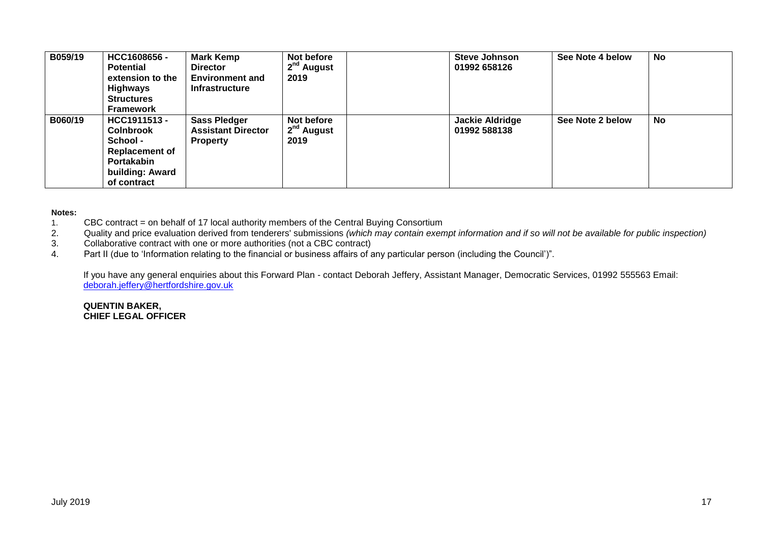| B059/19 | HCC1608656-<br><b>Potential</b><br>extension to the<br><b>Highways</b><br><b>Structures</b><br><b>Framework</b>       | <b>Mark Kemp</b><br><b>Director</b><br><b>Environment and</b><br><b>Infrastructure</b> | Not before<br>2 <sup>nd</sup> August<br>2019 | <b>Steve Johnson</b><br>01992 658126 | See Note 4 below | <b>No</b> |
|---------|-----------------------------------------------------------------------------------------------------------------------|----------------------------------------------------------------------------------------|----------------------------------------------|--------------------------------------|------------------|-----------|
| B060/19 | HCC1911513 -<br><b>Colnbrook</b><br>School -<br><b>Replacement of</b><br>Portakabin<br>building: Award<br>of contract | <b>Sass Pledger</b><br><b>Assistant Director</b><br><b>Property</b>                    | Not before<br>2 <sup>nd</sup> August<br>2019 | Jackie Aldridge<br>01992 588138      | See Note 2 below | <b>No</b> |

#### **Notes:**

- 1. CBC contract = on behalf of 17 local authority members of the Central Buying Consortium
- 2. Quality and price evaluation derived from tenderers' submissions *(which may contain exempt information and if so will not be available for public inspection)*
- 3. Collaborative contract with one or more authorities (not a CBC contract)<br>4. Part II (due to 'Information relating to the financial or business affairs of a
- Part II (due to 'Information relating to the financial or business affairs of any particular person (including the Council')".

If you have any general enquiries about this Forward Plan - contact Deborah Jeffery, Assistant Manager, Democratic Services, 01992 555563 Email: [deborah.jeffery@hertfordshire.gov.uk](mailto:deborah.jeffery@hertfordshire.gov.uk) 

**QUENTIN BAKER, CHIEF LEGAL OFFICER**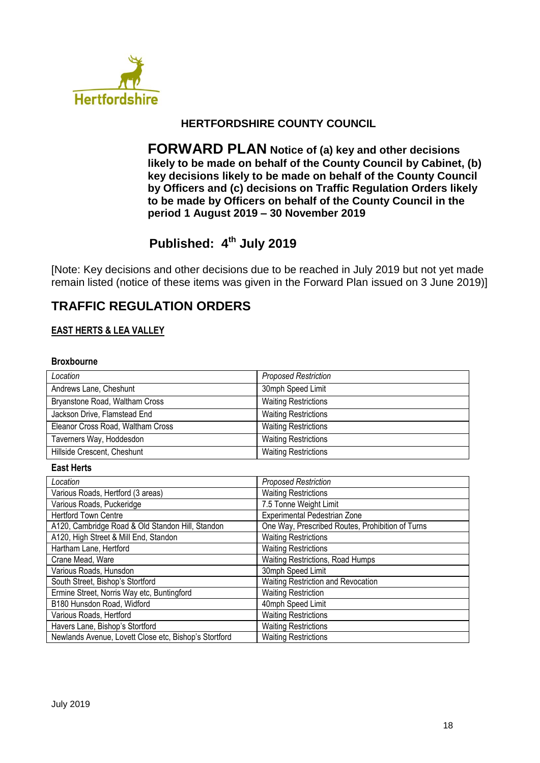

## **HERTFORDSHIRE COUNTY COUNCIL**

**FORWARD PLAN Notice of (a) key and other decisions likely to be made on behalf of the County Council by Cabinet, (b) key decisions likely to be made on behalf of the County Council by Officers and (c) decisions on Traffic Regulation Orders likely to be made by Officers on behalf of the County Council in the period 1 August 2019 – 30 November 2019**

# **Published: 4 th July 2019**

[Note: Key decisions and other decisions due to be reached in July 2019 but not yet made remain listed (notice of these items was given in the Forward Plan issued on 3 June 2019)]

# **TRAFFIC REGULATION ORDERS**

#### **EAST HERTS & LEA VALLEY**

#### **Broxbourne**

| Location                          | <b>Proposed Restriction</b> |
|-----------------------------------|-----------------------------|
| Andrews Lane, Cheshunt            | 30mph Speed Limit           |
| Bryanstone Road, Waltham Cross    | <b>Waiting Restrictions</b> |
| Jackson Drive, Flamstead End      | <b>Waiting Restrictions</b> |
| Eleanor Cross Road, Waltham Cross | <b>Waiting Restrictions</b> |
| Taverners Way, Hoddesdon          | <b>Waiting Restrictions</b> |
| Hillside Crescent, Cheshunt       | <b>Waiting Restrictions</b> |

#### **East Herts**

| Location                                              | <b>Proposed Restriction</b>                      |
|-------------------------------------------------------|--------------------------------------------------|
| Various Roads, Hertford (3 areas)                     | <b>Waiting Restrictions</b>                      |
| Various Roads, Puckeridge                             | 7.5 Tonne Weight Limit                           |
| <b>Hertford Town Centre</b>                           | Experimental Pedestrian Zone                     |
| A120, Cambridge Road & Old Standon Hill, Standon      | One Way, Prescribed Routes, Prohibition of Turns |
| A120, High Street & Mill End, Standon                 | <b>Waiting Restrictions</b>                      |
| Hartham Lane, Hertford                                | <b>Waiting Restrictions</b>                      |
| Crane Mead, Ware                                      | <b>Waiting Restrictions, Road Humps</b>          |
| Various Roads, Hunsdon                                | 30mph Speed Limit                                |
| South Street, Bishop's Stortford                      | Waiting Restriction and Revocation               |
| Ermine Street, Norris Way etc, Buntingford            | <b>Waiting Restriction</b>                       |
| B180 Hunsdon Road, Widford                            | 40mph Speed Limit                                |
| Various Roads, Hertford                               | <b>Waiting Restrictions</b>                      |
| Havers Lane, Bishop's Stortford                       | <b>Waiting Restrictions</b>                      |
| Newlands Avenue, Lovett Close etc, Bishop's Stortford | <b>Waiting Restrictions</b>                      |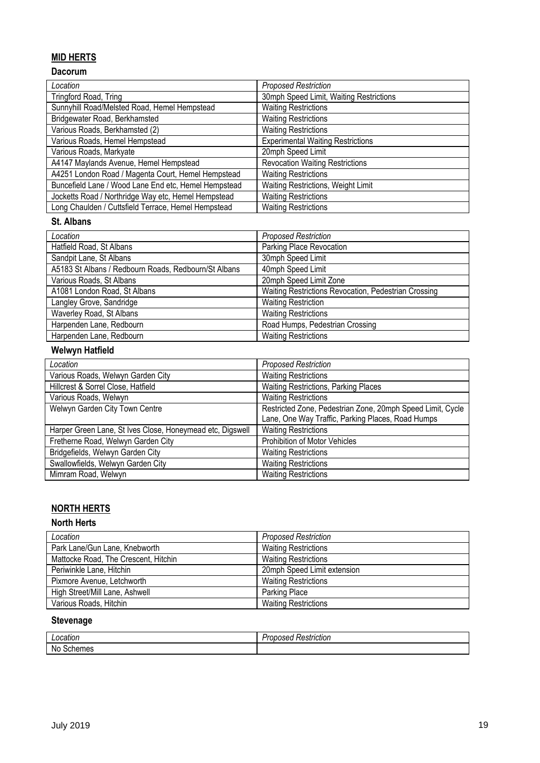## **MID HERTS**

## **Dacorum**

| Location                                             | <b>Proposed Restriction</b>              |
|------------------------------------------------------|------------------------------------------|
| Tringford Road, Tring                                | 30mph Speed Limit, Waiting Restrictions  |
| Sunnyhill Road/Melsted Road, Hemel Hempstead         | <b>Waiting Restrictions</b>              |
| Bridgewater Road, Berkhamsted                        | <b>Waiting Restrictions</b>              |
| Various Roads, Berkhamsted (2)                       | <b>Waiting Restrictions</b>              |
| Various Roads, Hemel Hempstead                       | <b>Experimental Waiting Restrictions</b> |
| Various Roads, Markyate                              | 20mph Speed Limit                        |
| A4147 Maylands Avenue, Hemel Hempstead               | <b>Revocation Waiting Restrictions</b>   |
| A4251 London Road / Magenta Court, Hemel Hempstead   | <b>Waiting Restrictions</b>              |
| Buncefield Lane / Wood Lane End etc, Hemel Hempstead | Waiting Restrictions, Weight Limit       |
| Jocketts Road / Northridge Way etc, Hemel Hempstead  | <b>Waiting Restrictions</b>              |
| Long Chaulden / Cuttsfield Terrace, Hemel Hempstead  | <b>Waiting Restrictions</b>              |

#### **St. Albans**

| Location                                             | <b>Proposed Restriction</b>                          |
|------------------------------------------------------|------------------------------------------------------|
| Hatfield Road, St Albans                             | Parking Place Revocation                             |
| Sandpit Lane, St Albans                              | 30mph Speed Limit                                    |
| A5183 St Albans / Redbourn Roads, Redbourn/St Albans | 40mph Speed Limit                                    |
| Various Roads, St Albans                             | 20mph Speed Limit Zone                               |
| A1081 London Road, St Albans                         | Waiting Restrictions Revocation, Pedestrian Crossing |
| Langley Grove, Sandridge                             | <b>Waiting Restriction</b>                           |
| Waverley Road, St Albans                             | <b>Waiting Restrictions</b>                          |
| Harpenden Lane, Redbourn                             | Road Humps, Pedestrian Crossing                      |
| Harpenden Lane, Redbourn                             | <b>Waiting Restrictions</b>                          |

## **Welwyn Hatfield**

| Location                                                  | <b>Proposed Restriction</b>                                |
|-----------------------------------------------------------|------------------------------------------------------------|
| Various Roads, Welwyn Garden City                         | <b>Waiting Restrictions</b>                                |
| Hillcrest & Sorrel Close, Hatfield                        | Waiting Restrictions, Parking Places                       |
| Various Roads, Welwyn                                     | <b>Waiting Restrictions</b>                                |
| Welwyn Garden City Town Centre                            | Restricted Zone, Pedestrian Zone, 20mph Speed Limit, Cycle |
|                                                           | Lane, One Way Traffic, Parking Places, Road Humps          |
| Harper Green Lane, St Ives Close, Honeymead etc, Digswell | <b>Waiting Restrictions</b>                                |
| Fretherne Road, Welwyn Garden City                        | Prohibition of Motor Vehicles                              |
| Bridgefields, Welwyn Garden City                          | <b>Waiting Restrictions</b>                                |
| Swallowfields, Welwyn Garden City                         | <b>Waiting Restrictions</b>                                |
| Mimram Road, Welwyn                                       | <b>Waiting Restrictions</b>                                |

# **NORTH HERTS**

#### **North Herts**

| Location                             | <b>Proposed Restriction</b> |
|--------------------------------------|-----------------------------|
| Park Lane/Gun Lane, Knebworth        | <b>Waiting Restrictions</b> |
| Mattocke Road, The Crescent, Hitchin | <b>Waiting Restrictions</b> |
| Periwinkle Lane, Hitchin             | 20mph Speed Limit extension |
| Pixmore Avenue, Letchworth           | <b>Waiting Restrictions</b> |
| High Street/Mill Lane, Ashwell       | Parking Place               |
| Various Roads, Hitchin               | <b>Waiting Restrictions</b> |

## **Stevenage**

| ocation                                                            | . .<br>atriation<br>≺estriction<br>useu<br>uv |
|--------------------------------------------------------------------|-----------------------------------------------|
| <b>Nc</b><br>$\sim$ $\sim$<br>--<br>$\sim$<br><b>criemes</b><br>งแ |                                               |